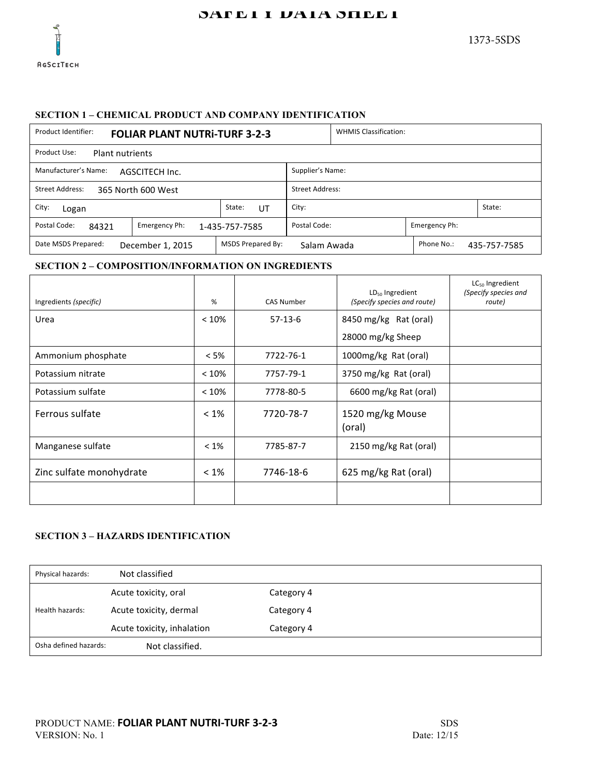

# SAFETT DATA SHEET

# **SECTION 1 – CHEMICAL PRODUCT AND COMPANY IDENTIFICATION**

| Product Identifier:<br><b>FOLIAR PLANT NUTRI-TURF 3-2-3</b>                                                      |              | <b>WHMIS Classification:</b> |  |  |        |  |
|------------------------------------------------------------------------------------------------------------------|--------------|------------------------------|--|--|--------|--|
| Product Use:<br><b>Plant nutrients</b>                                                                           |              |                              |  |  |        |  |
| Manufacturer's Name:<br>Supplier's Name:<br>AGSCITECH Inc.                                                       |              |                              |  |  |        |  |
| <b>Street Address:</b><br><b>Street Address:</b><br>365 North 600 West                                           |              |                              |  |  |        |  |
| City:<br>Logan                                                                                                   | State:<br>UT | City:                        |  |  | State: |  |
| Postal Code:<br>Postal Code:<br>Emergency Ph:<br>Emergency Ph:<br>84321<br>1-435-757-7585                        |              |                              |  |  |        |  |
| <b>MSDS Prepared By:</b><br>Phone No.:<br>Date MSDS Prepared:<br>December 1, 2015<br>Salam Awada<br>435-757-7585 |              |                              |  |  |        |  |

#### **SECTION 2 – COMPOSITION/INFORMATION ON INGREDIENTS**

| Ingredients (specific)   | %       | <b>CAS Number</b> | $LD_{50}$ Ingredient<br>(Specify species and route) | $LC_{50}$ Ingredient<br>(Specify species and<br>route) |
|--------------------------|---------|-------------------|-----------------------------------------------------|--------------------------------------------------------|
| Urea                     | < 10%   | $57-13-6$         | 8450 mg/kg Rat (oral)                               |                                                        |
|                          |         |                   | 28000 mg/kg Sheep                                   |                                                        |
| Ammonium phosphate       | $< 5\%$ | 7722-76-1         | 1000mg/kg Rat (oral)                                |                                                        |
| Potassium nitrate        | < 10%   | 7757-79-1         | 3750 mg/kg Rat (oral)                               |                                                        |
| Potassium sulfate        | < 10%   | 7778-80-5         | 6600 mg/kg Rat (oral)                               |                                                        |
| Ferrous sulfate          | $< 1\%$ | 7720-78-7         | 1520 mg/kg Mouse<br>(oral)                          |                                                        |
| Manganese sulfate        | $< 1\%$ | 7785-87-7         | 2150 mg/kg Rat (oral)                               |                                                        |
| Zinc sulfate monohydrate | $< 1\%$ | 7746-18-6         | 625 mg/kg Rat (oral)                                |                                                        |
|                          |         |                   |                                                     |                                                        |

# **SECTION 3 – HAZARDS IDENTIFICATION**

| Physical hazards:     | Not classified             |            |  |
|-----------------------|----------------------------|------------|--|
|                       | Acute toxicity, oral       | Category 4 |  |
| Health hazards:       | Acute toxicity, dermal     | Category 4 |  |
|                       | Acute toxicity, inhalation | Category 4 |  |
| Osha defined hazards: | Not classified.            |            |  |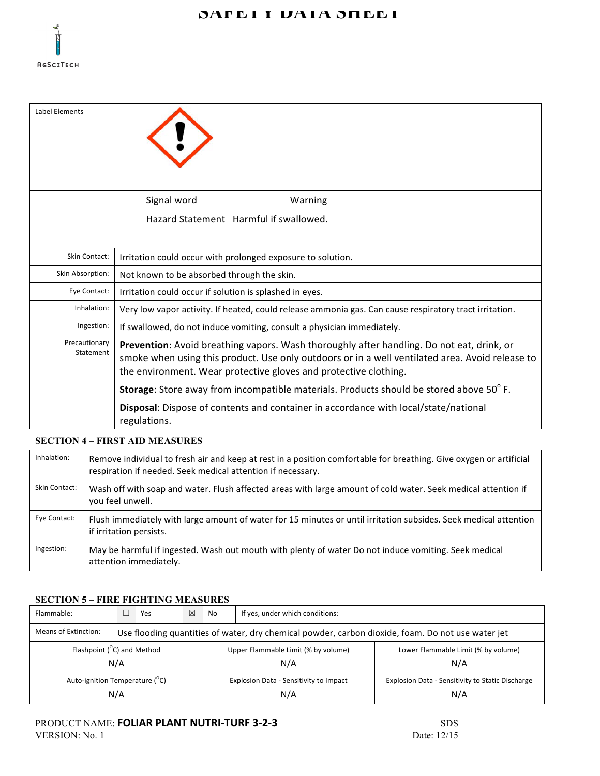

| Label Elements             |                                                                                                                                                                                                                                                                  |
|----------------------------|------------------------------------------------------------------------------------------------------------------------------------------------------------------------------------------------------------------------------------------------------------------|
|                            | Signal word<br>Warning                                                                                                                                                                                                                                           |
|                            | Hazard Statement Harmful if swallowed.                                                                                                                                                                                                                           |
| Skin Contact:              | Irritation could occur with prolonged exposure to solution.                                                                                                                                                                                                      |
| Skin Absorption:           | Not known to be absorbed through the skin.                                                                                                                                                                                                                       |
| Eye Contact:               | Irritation could occur if solution is splashed in eyes.                                                                                                                                                                                                          |
| Inhalation:                | Very low vapor activity. If heated, could release ammonia gas. Can cause respiratory tract irritation.                                                                                                                                                           |
| Ingestion:                 | If swallowed, do not induce vomiting, consult a physician immediately.                                                                                                                                                                                           |
| Precautionary<br>Statement | Prevention: Avoid breathing vapors. Wash thoroughly after handling. Do not eat, drink, or<br>smoke when using this product. Use only outdoors or in a well ventilated area. Avoid release to<br>the environment. Wear protective gloves and protective clothing. |
|                            | Storage: Store away from incompatible materials. Products should be stored above 50°F.                                                                                                                                                                           |
|                            | Disposal: Dispose of contents and container in accordance with local/state/national<br>regulations.                                                                                                                                                              |

#### **SECTION 4 – FIRST AID MEASURES**

| Inhalation:   | Remove individual to fresh air and keep at rest in a position comfortable for breathing. Give oxygen or artificial<br>respiration if needed. Seek medical attention if necessary. |
|---------------|-----------------------------------------------------------------------------------------------------------------------------------------------------------------------------------|
| Skin Contact: | Wash off with soap and water. Flush affected areas with large amount of cold water. Seek medical attention if<br>you feel unwell.                                                 |
| Eye Contact:  | Flush immediately with large amount of water for 15 minutes or until irritation subsides. Seek medical attention<br>if irritation persists.                                       |
| Ingestion:    | May be harmful if ingested. Wash out mouth with plenty of water Do not induce vomiting. Seek medical<br>attention immediately.                                                    |

#### **SECTION 5 – FIRE FIGHTING MEASURES**

| Flammable:                                                                                                                |  | Yes | $\boxtimes$                            | No                                  | If yes, under which conditions:                  |  |  |  |
|---------------------------------------------------------------------------------------------------------------------------|--|-----|----------------------------------------|-------------------------------------|--------------------------------------------------|--|--|--|
| Means of Extinction:<br>Use flooding quantities of water, dry chemical powder, carbon dioxide, foam. Do not use water jet |  |     |                                        |                                     |                                                  |  |  |  |
| Flashpoint ( <sup>°</sup> C) and Method                                                                                   |  |     |                                        | Upper Flammable Limit (% by volume) | Lower Flammable Limit (% by volume)              |  |  |  |
| N/A                                                                                                                       |  |     |                                        | N/A                                 | N/A                                              |  |  |  |
| Auto-ignition Temperature (C)                                                                                             |  |     | Explosion Data - Sensitivity to Impact |                                     | Explosion Data - Sensitivity to Static Discharge |  |  |  |
| N/A                                                                                                                       |  |     | N/A                                    |                                     | N/A                                              |  |  |  |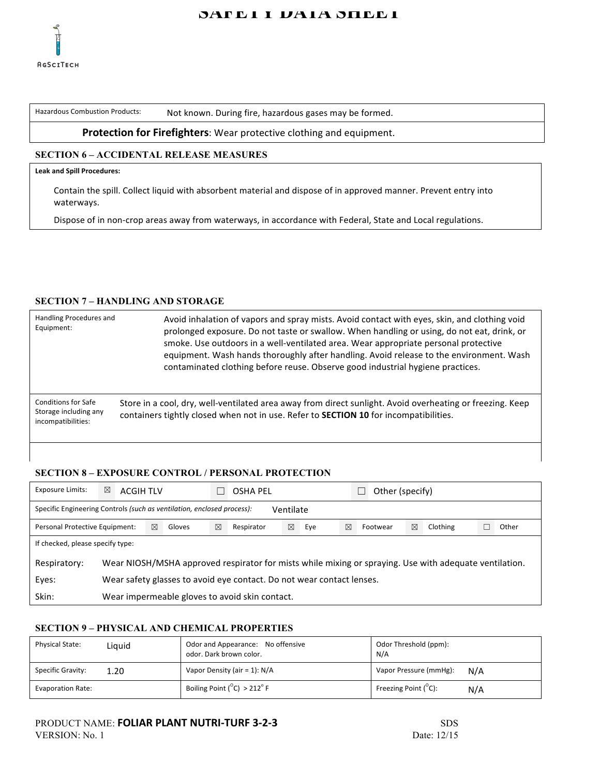

# SAFETT DATA SHEET

Hazardous Combustion Products: Not known. During fire, hazardous gases may be formed.

#### **Protection for Firefighters:** Wear protective clothing and equipment.

# **SECTION 6 – ACCIDENTAL RELEASE MEASURES**

#### **Leak and Spill Procedures:**

Contain the spill. Collect liquid with absorbent material and dispose of in approved manner. Prevent entry into waterways.

Dispose of in non-crop areas away from waterways, in accordance with Federal, State and Local regulations.

#### **SECTION 7 – HANDLING AND STORAGE**

| Handling Procedures and<br>Equipment:                              | Avoid inhalation of vapors and spray mists. Avoid contact with eyes, skin, and clothing void<br>prolonged exposure. Do not taste or swallow. When handling or using, do not eat, drink, or<br>smoke. Use outdoors in a well-ventilated area. Wear appropriate personal protective<br>equipment. Wash hands thoroughly after handling. Avoid release to the environment. Wash<br>contaminated clothing before reuse. Observe good industrial hygiene practices. |
|--------------------------------------------------------------------|----------------------------------------------------------------------------------------------------------------------------------------------------------------------------------------------------------------------------------------------------------------------------------------------------------------------------------------------------------------------------------------------------------------------------------------------------------------|
| Conditions for Safe<br>Storage including any<br>incompatibilities: | Store in a cool, dry, well-ventilated area away from direct sunlight. Avoid overheating or freezing. Keep<br>containers tightly closed when not in use. Refer to <b>SECTION 10</b> for incompatibilities.                                                                                                                                                                                                                                                      |

#### **SECTION 8 – EXPOSURE CONTROL / PERSONAL PROTECTION**

| <b>Exposure Limits:</b>                                                             | $\boxtimes$                                                                                            | <b>ACGIH TLV</b> |   |        |   | <b>OSHA PEL</b> |   |     |   | Other (specify) |   |          |       |
|-------------------------------------------------------------------------------------|--------------------------------------------------------------------------------------------------------|------------------|---|--------|---|-----------------|---|-----|---|-----------------|---|----------|-------|
| Specific Engineering Controls (such as ventilation, enclosed process):<br>Ventilate |                                                                                                        |                  |   |        |   |                 |   |     |   |                 |   |          |       |
| Personal Protective Equipment:                                                      |                                                                                                        |                  | ⊠ | Gloves | ⊠ | Respirator      | ⊠ | Eye | ⊠ | Footwear        | ⊠ | Clothing | Other |
| If checked, please specify type:                                                    |                                                                                                        |                  |   |        |   |                 |   |     |   |                 |   |          |       |
| Respiratory:                                                                        | Wear NIOSH/MSHA approved respirator for mists while mixing or spraying. Use with adequate ventilation. |                  |   |        |   |                 |   |     |   |                 |   |          |       |
| Eyes:                                                                               | Wear safety glasses to avoid eye contact. Do not wear contact lenses.                                  |                  |   |        |   |                 |   |     |   |                 |   |          |       |
| Skin:                                                                               | Wear impermeable gloves to avoid skin contact.                                                         |                  |   |        |   |                 |   |     |   |                 |   |          |       |

### **SECTION 9 – PHYSICAL AND CHEMICAL PROPERTIES**

| <b>Physical State:</b>    | Liguid | Odor and Appearance: No offensive<br>odor. Dark brown color. | Odor Threshold (ppm):<br>N/A          |
|---------------------------|--------|--------------------------------------------------------------|---------------------------------------|
| Specific Gravity:<br>1.20 |        | Vapor Density (air = 1): N/A                                 | Vapor Pressure (mmHg):<br>N/A         |
| <b>Evaporation Rate:</b>  |        | Boiling Point $(^{\circ}C)$ > 212° F                         | Freezing Point $(^{\circ}C)$ :<br>N/A |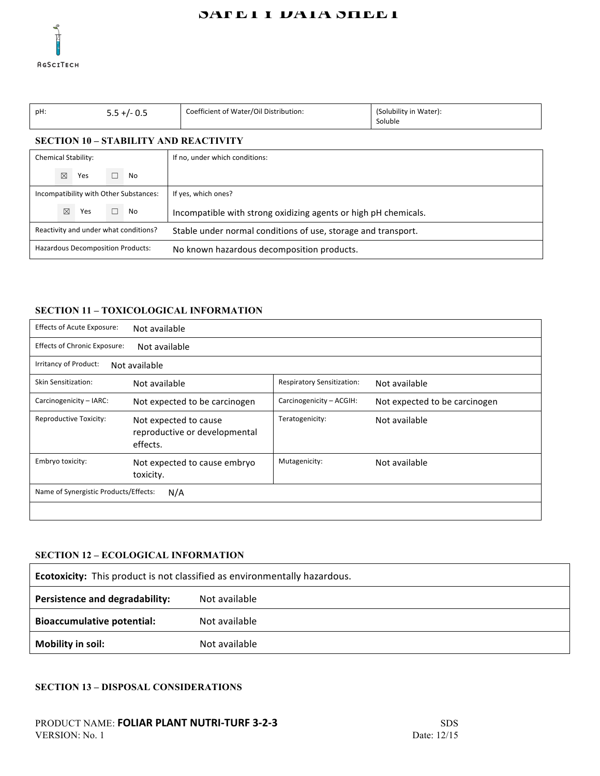

# SAFETT DATA SHEET

| pH:                                   |                                          |  | $5.5 +/- 0.5$                                                 | Coefficient of Water/Oil Distribution:                          | (Solubility in Water):<br>Soluble |  |  |  |
|---------------------------------------|------------------------------------------|--|---------------------------------------------------------------|-----------------------------------------------------------------|-----------------------------------|--|--|--|
|                                       |                                          |  |                                                               | <b>SECTION 10 - STABILITY AND REACTIVITY</b>                    |                                   |  |  |  |
|                                       | <b>Chemical Stability:</b>               |  |                                                               | If no, under which conditions:                                  |                                   |  |  |  |
|                                       | $\boxtimes$<br>Yes                       |  | No                                                            |                                                                 |                                   |  |  |  |
|                                       | Incompatibility with Other Substances:   |  |                                                               | If yes, which ones?                                             |                                   |  |  |  |
|                                       | $\boxtimes$<br>Yes                       |  | No                                                            | Incompatible with strong oxidizing agents or high pH chemicals. |                                   |  |  |  |
| Reactivity and under what conditions? |                                          |  | Stable under normal conditions of use, storage and transport. |                                                                 |                                   |  |  |  |
|                                       | <b>Hazardous Decomposition Products:</b> |  |                                                               | No known hazardous decomposition products.                      |                                   |  |  |  |

# **SECTION 11 – TOXICOLOGICAL INFORMATION**

| <b>Effects of Acute Exposure:</b>                    | Not available                                                      |                            |                               |  |  |  |  |
|------------------------------------------------------|--------------------------------------------------------------------|----------------------------|-------------------------------|--|--|--|--|
| <b>Effects of Chronic Exposure:</b><br>Not available |                                                                    |                            |                               |  |  |  |  |
| Irritancy of Product:                                | Not available                                                      |                            |                               |  |  |  |  |
| Skin Sensitization:                                  | Not available                                                      | Respiratory Sensitization: | Not available                 |  |  |  |  |
| Carcinogenicity - IARC:                              | Not expected to be carcinogen                                      | Carcinogenicity - ACGIH:   | Not expected to be carcinogen |  |  |  |  |
| <b>Reproductive Toxicity:</b>                        | Not expected to cause<br>reproductive or developmental<br>effects. | Teratogenicity:            | Not available                 |  |  |  |  |
| Embryo toxicity:                                     | Not expected to cause embryo<br>toxicity.                          | Mutagenicity:              | Not available                 |  |  |  |  |
| Name of Synergistic Products/Effects:<br>N/A         |                                                                    |                            |                               |  |  |  |  |
|                                                      |                                                                    |                            |                               |  |  |  |  |

# **SECTION 12 – ECOLOGICAL INFORMATION**

| <b>Ecotoxicity:</b> This product is not classified as environmentally hazardous. |               |  |  |  |
|----------------------------------------------------------------------------------|---------------|--|--|--|
| <b>Persistence and degradability:</b>                                            | Not available |  |  |  |
| <b>Bioaccumulative potential:</b>                                                | Not available |  |  |  |
| Mobility in soil:                                                                | Not available |  |  |  |

#### **SECTION 13 – DISPOSAL CONSIDERATIONS**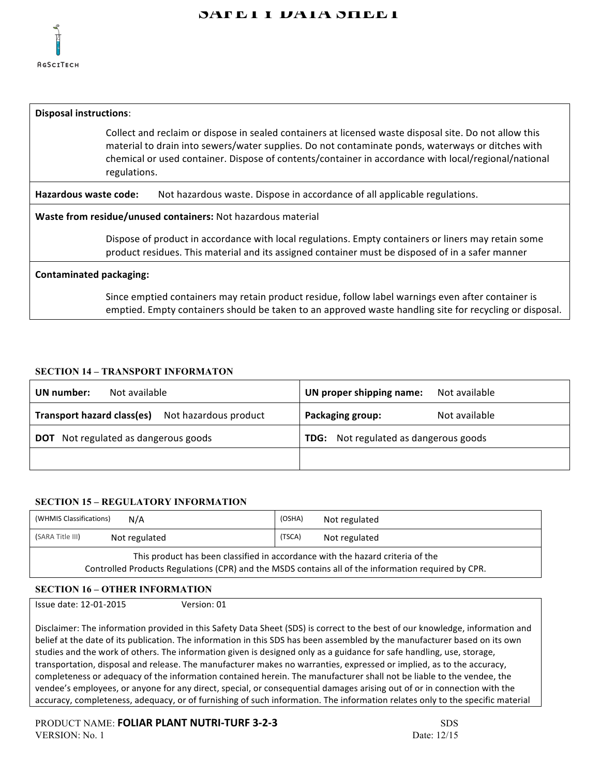

# **SAFETY DATA SHEET**

| <b>Disposal instructions:</b>                                                                                                                                                                                                                                                                                                       |                                                                                                    |  |
|-------------------------------------------------------------------------------------------------------------------------------------------------------------------------------------------------------------------------------------------------------------------------------------------------------------------------------------|----------------------------------------------------------------------------------------------------|--|
| Collect and reclaim or dispose in sealed containers at licensed waste disposal site. Do not allow this<br>material to drain into sewers/water supplies. Do not contaminate ponds, waterways or ditches with<br>chemical or used container. Dispose of contents/container in accordance with local/regional/national<br>regulations. |                                                                                                    |  |
| Hazardous waste code:<br>Not hazardous waste. Dispose in accordance of all applicable regulations.                                                                                                                                                                                                                                  |                                                                                                    |  |
| Waste from residue/unused containers: Not hazardous material                                                                                                                                                                                                                                                                        |                                                                                                    |  |
| Dispose of product in accordance with local regulations. Empty containers or liners may retain some<br>product residues. This material and its assigned container must be disposed of in a safer manner                                                                                                                             |                                                                                                    |  |
| <b>Contaminated packaging:</b>                                                                                                                                                                                                                                                                                                      |                                                                                                    |  |
|                                                                                                                                                                                                                                                                                                                                     | Since emptied containers may retain product residue, follow label warnings even after container is |  |

emptied. Empty containers should be taken to an approved waste handling site for recycling or disposal.

### **SECTION 14 – TRANSPORT INFORMATON**

| Not available                               | UN proper shipping name:                 |
|---------------------------------------------|------------------------------------------|
| UN number:                                  | Not available                            |
| Transport hazard class(es)                  | Packaging group:                         |
| Not hazardous product                       | Not available                            |
| <b>DOT</b> Not regulated as dangerous goods | Not regulated as dangerous goods<br>TDG: |
|                                             |                                          |

#### **SECTION 15 – REGULATORY INFORMATION**

| (WHMIS Classifications)                                                                                                                                                               | (OSHA)        |  |  |
|---------------------------------------------------------------------------------------------------------------------------------------------------------------------------------------|---------------|--|--|
| N/A                                                                                                                                                                                   | Not regulated |  |  |
| (SARA Title III)                                                                                                                                                                      | (TSCA)        |  |  |
| Not regulated                                                                                                                                                                         | Not regulated |  |  |
| This product has been classified in accordance with the hazard criteria of the<br>Controlled Products Regulations (CPR) and the MSDS contains all of the information required by CPR. |               |  |  |

# **SECTION 16 – OTHER INFORMATION**

**Issue date: 12-01-2015** Version: 01

Disclaimer: The information provided in this Safety Data Sheet (SDS) is correct to the best of our knowledge, information and belief at the date of its publication. The information in this SDS has been assembled by the manufacturer based on its own studies and the work of others. The information given is designed only as a guidance for safe handling, use, storage, transportation, disposal and release. The manufacturer makes no warranties, expressed or implied, as to the accuracy, completeness or adequacy of the information contained herein. The manufacturer shall not be liable to the vendee, the vendee's employees, or anyone for any direct, special, or consequential damages arising out of or in connection with the accuracy, completeness, adequacy, or of furnishing of such information. The information relates only to the specific material